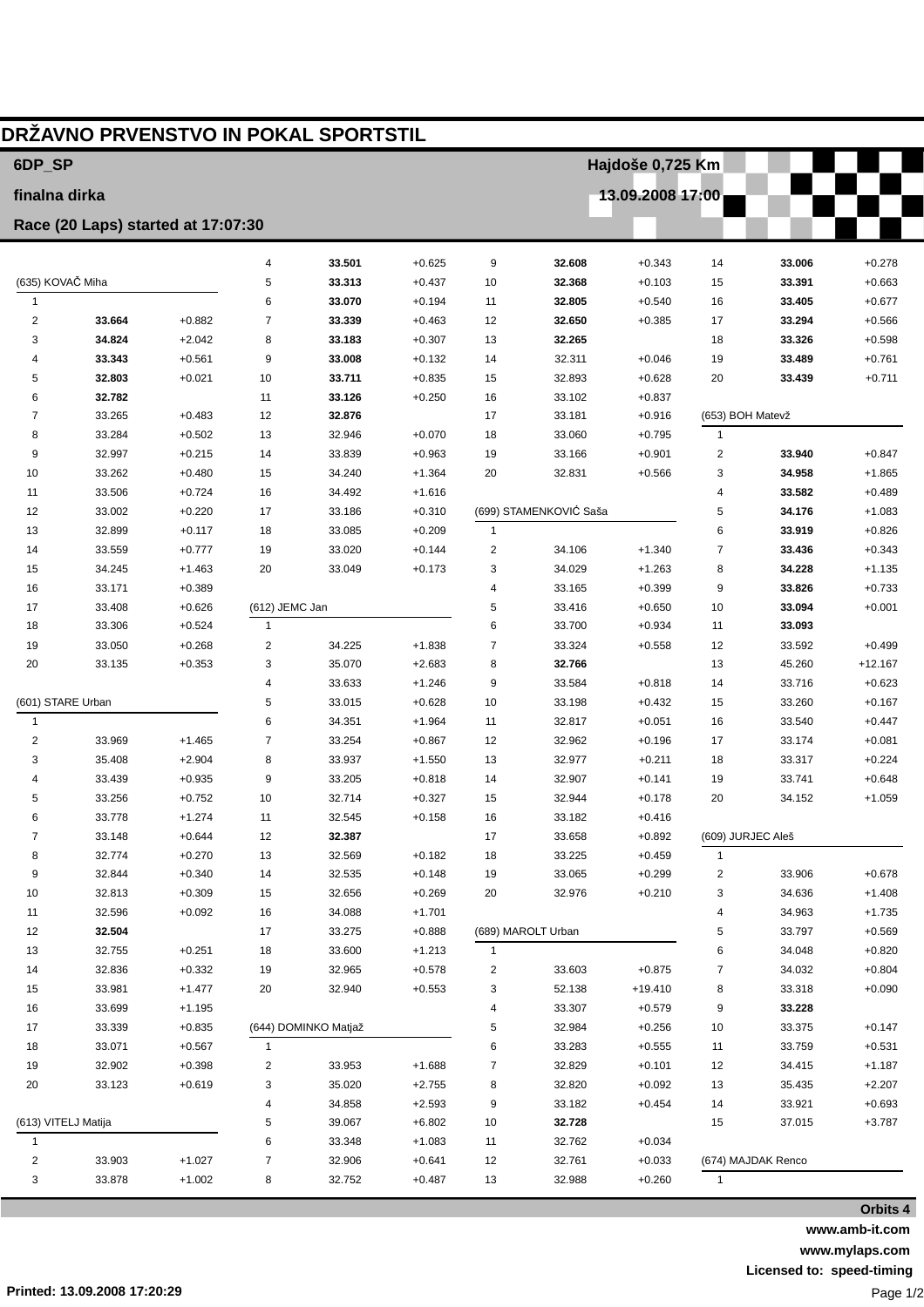| 6DP SP<br>Hajdoše 0,725 Km<br>13.09.2008 17:00<br>finalna dirka<br>Race (20 Laps) started at 17:07:30<br>33.501<br>4<br>$+0.625$<br>9<br>32.608<br>$+0.343$<br>14<br>33.006<br>$+0.278$<br>(635) KOVAČ Miha<br>33.313<br>$+0.437$<br>32.368<br>5<br>10<br>$+0.103$<br>15<br>33.391<br>$+0.663$<br>$\mathbf{1}$<br>6<br>33.070<br>$+0.194$<br>32.805<br>$+0.540$<br>33.405<br>$+0.677$<br>16<br>11<br>$\overline{2}$<br>$\overline{7}$<br>33.339<br>32.650<br>33.664<br>$+0.882$<br>$+0.463$<br>12<br>$+0.385$<br>17<br>33.294<br>34.824<br>$+2.042$<br>8<br>33.183<br>$+0.307$<br>32.265<br>3<br>13<br>18<br>33.326<br>33.343<br>9<br>33.008<br>32.311<br>$+0.561$<br>$+0.132$<br>14<br>$+0.046$<br>19<br>33.489<br>4<br>32.803<br>33.711<br>$+0.835$<br>32.893<br>5<br>$+0.021$<br>10<br>15<br>$+0.628$<br>20<br>33.439<br>32.782<br>33.126<br>33.102<br>$+0.837$<br>6<br>11<br>$+0.250$<br>16<br>33.265<br>$+0.483$<br>12<br>32.876<br>17<br>33.181<br>$+0.916$<br>(653) BOH Matevž<br>7<br>33.284<br>$+0.502$<br>13<br>32.946<br>$+0.070$<br>33.060<br>8<br>18<br>$+0.795$<br>$\mathbf{1}$<br>33.839<br>$\overline{\mathbf{c}}$<br>9<br>32.997<br>$+0.215$<br>14<br>$+0.963$<br>19<br>33.166<br>$+0.901$<br>33.940<br>$+0.480$<br>10<br>33.262<br>15<br>34.240<br>$+1.364$<br>20<br>32.831<br>$+0.566$<br>3<br>34.958<br>16<br>11<br>33.506<br>$+0.724$<br>34.492<br>$+1.616$<br>4<br>33.582<br>(699) STAMENKOVIĆ Saša<br>17<br>5<br>12<br>33.002<br>$+0.220$<br>33.186<br>$+0.310$<br>34.176<br>6<br>13<br>32.899<br>$+0.117$<br>18<br>33.085<br>$+0.209$<br>1<br>33.919<br>19<br>$\overline{\mathbf{c}}$<br>7<br>14<br>33.559<br>$+0.777$<br>33.020<br>$+0.144$<br>34.106<br>$+1.340$<br>33.436<br>20<br>$+0.173$<br>3<br>34.029<br>8<br>15<br>34.245<br>$+1.463$<br>33.049<br>$+1.263$<br>34.228<br>33.171<br>$+0.389$<br>33.165<br>9<br>16<br>4<br>$+0.399$<br>33.826<br>(612) JEMC Jan<br>5<br>17<br>33.408<br>$+0.626$<br>33.416<br>$+0.650$<br>10<br>33.094<br>$+0.524$<br>6<br>33.700<br>18<br>33.306<br>$\mathbf{1}$<br>$+0.934$<br>11<br>33.093<br>$+0.268$<br>$\overline{\mathbf{c}}$<br>34.225<br>33.324<br>19<br>33.050<br>$+1.838$<br>7<br>$+0.558$<br>12<br>33.592<br>$+0.353$<br>3<br>35.070<br>$+2.683$<br>32.766<br>20<br>33.135<br>8<br>13<br>45.260<br>$\overline{4}$<br>33.633<br>$+1.246$<br>33.584<br>$+0.818$<br>33.716<br>9<br>14<br>(601) STARE Urban<br>5<br>33.015<br>33.198<br>$+0.628$<br>10<br>$+0.432$<br>15<br>33.260<br>6<br>34.351<br>32.817<br>$\mathbf{1}$<br>$+1.964$<br>11<br>$+0.051$<br>16<br>33.540<br>$\overline{7}$<br>$\overline{2}$<br>33.969<br>$+1.465$<br>33.254<br>$+0.867$<br>12<br>32.962<br>$+0.196$<br>17<br>33.174<br>$+0.081$<br>35.408<br>$+2.904$<br>8<br>32.977<br>3<br>33.937<br>$+1.550$<br>13<br>$+0.211$<br>18<br>33.317<br>$+0.224$<br>$+0.935$<br>9<br>33.205<br>32.907<br>33.741<br>$+0.648$<br>33.439<br>$+0.818$<br>14<br>$+0.141$<br>19<br>4<br>$+0.752$<br>10<br>32.714<br>32.944<br>5<br>33.256<br>$+0.327$<br>15<br>$+0.178$<br>20<br>34.152<br>$+1.059$<br>33.778<br>$+1.274$<br>32.545<br>$+0.158$<br>33.182<br>6<br>11<br>16<br>$+0.416$<br>7<br>33.148<br>$+0.644$<br>12<br>32.387<br>17<br>33.658<br>$+0.892$<br>(609) JURJEC Aleš<br>32.774<br>$+0.270$<br>13<br>32.569<br>$+0.182$<br>33.225<br>$+0.459$<br>8<br>18<br>$\mathbf{1}$<br>32.844<br>$+0.340$<br>32.535<br>33.065<br>2<br>33.906<br>$+0.678$<br>9<br>14<br>$+0.148$<br>19<br>$+0.299$<br>10<br>32.813<br>$+0.309$<br>15<br>32.656<br>$+0.269$<br>20<br>32.976<br>$+0.210$<br>3<br>34.636<br>$+1.408$<br>$+0.092$<br>16<br>$+1.735$<br>11<br>32.596<br>34.088<br>$+1.701$<br>4<br>34.963<br>12<br>32.504<br>17<br>(689) MAROLT Urban<br>33.797<br>$+0.569$<br>33.275<br>$+0.888$<br>5<br>13<br>32.755<br>$+0.251$<br>18<br>33.600<br>$+1.213$<br>6<br>34.048<br>1<br>14<br>32.836<br>$+0.332$<br>19<br>32.965<br>$+0.578$<br>33.603<br>34.032<br>2<br>$+0.875$<br>7<br>33.981<br>$+1.477$<br>32.940<br>$+0.553$<br>52.138<br>15<br>20<br>3<br>$+19.410$<br>8<br>33.318<br>33.307<br>33.228<br>16<br>33.699<br>$+1.195$<br>4<br>$+0.579$<br>9<br>17<br>33.339<br>$+0.835$<br>(644) DOMINKO Matjaž<br>32.984<br>33.375<br>5<br>$+0.256$<br>10<br>33.071<br>$+0.567$<br>$\mathbf{1}$<br>6<br>33.283<br>$+0.555$<br>33.759<br>18<br>11<br>19<br>32.902<br>$+0.398$<br>$+1.688$<br>32.829<br>$+0.101$<br>2<br>33.953<br>7<br>12<br>34.415<br>20<br>33.123<br>$+0.619$<br>3<br>35.020<br>$+2.755$<br>32.820<br>$+0.092$<br>8<br>13<br>35.435<br>34.858<br>$+2.593$<br>33.182<br>14<br>33.921<br>$\overline{4}$<br>9<br>$+0.454$<br>(613) VITELJ Matija<br>5<br>39.067<br>$+6.802$<br>32.728<br>37.015<br>10<br>15<br>6<br>33.348<br>$+1.083$<br>32.762<br>$+0.034$<br>11<br>$\mathbf{1}$ | DRŽAVNO PRVENSTVO IN POKAL SPORTSTIL |  |  |  |  |  |  |  |  |  |  |           |  |
|---------------------------------------------------------------------------------------------------------------------------------------------------------------------------------------------------------------------------------------------------------------------------------------------------------------------------------------------------------------------------------------------------------------------------------------------------------------------------------------------------------------------------------------------------------------------------------------------------------------------------------------------------------------------------------------------------------------------------------------------------------------------------------------------------------------------------------------------------------------------------------------------------------------------------------------------------------------------------------------------------------------------------------------------------------------------------------------------------------------------------------------------------------------------------------------------------------------------------------------------------------------------------------------------------------------------------------------------------------------------------------------------------------------------------------------------------------------------------------------------------------------------------------------------------------------------------------------------------------------------------------------------------------------------------------------------------------------------------------------------------------------------------------------------------------------------------------------------------------------------------------------------------------------------------------------------------------------------------------------------------------------------------------------------------------------------------------------------------------------------------------------------------------------------------------------------------------------------------------------------------------------------------------------------------------------------------------------------------------------------------------------------------------------------------------------------------------------------------------------------------------------------------------------------------------------------------------------------------------------------------------------------------------------------------------------------------------------------------------------------------------------------------------------------------------------------------------------------------------------------------------------------------------------------------------------------------------------------------------------------------------------------------------------------------------------------------------------------------------------------------------------------------------------------------------------------------------------------------------------------------------------------------------------------------------------------------------------------------------------------------------------------------------------------------------------------------------------------------------------------------------------------------------------------------------------------------------------------------------------------------------------------------------------------------------------------------------------------------------------------------------------------------------------------------------------------------------------------------------------------------------------------------------------------------------------------------------------------------------------------------------------------------------------------------------------------------------------------------------------------------------------------------------------------------------------------------------------------------------------------------------------------------------------------------------------------------------------------------------------------------------------------------------------------------------------------------------------------------------------------------------------------------------------------------------------------------------------------------------------------------------------------------------------------------------------------------------------------------------|--------------------------------------|--|--|--|--|--|--|--|--|--|--|-----------|--|
|                                                                                                                                                                                                                                                                                                                                                                                                                                                                                                                                                                                                                                                                                                                                                                                                                                                                                                                                                                                                                                                                                                                                                                                                                                                                                                                                                                                                                                                                                                                                                                                                                                                                                                                                                                                                                                                                                                                                                                                                                                                                                                                                                                                                                                                                                                                                                                                                                                                                                                                                                                                                                                                                                                                                                                                                                                                                                                                                                                                                                                                                                                                                                                                                                                                                                                                                                                                                                                                                                                                                                                                                                                                                                                                                                                                                                                                                                                                                                                                                                                                                                                                                                                                                                                                                                                                                                                                                                                                                                                                                                                                                                                                                                                                                 |                                      |  |  |  |  |  |  |  |  |  |  |           |  |
|                                                                                                                                                                                                                                                                                                                                                                                                                                                                                                                                                                                                                                                                                                                                                                                                                                                                                                                                                                                                                                                                                                                                                                                                                                                                                                                                                                                                                                                                                                                                                                                                                                                                                                                                                                                                                                                                                                                                                                                                                                                                                                                                                                                                                                                                                                                                                                                                                                                                                                                                                                                                                                                                                                                                                                                                                                                                                                                                                                                                                                                                                                                                                                                                                                                                                                                                                                                                                                                                                                                                                                                                                                                                                                                                                                                                                                                                                                                                                                                                                                                                                                                                                                                                                                                                                                                                                                                                                                                                                                                                                                                                                                                                                                                                 |                                      |  |  |  |  |  |  |  |  |  |  |           |  |
|                                                                                                                                                                                                                                                                                                                                                                                                                                                                                                                                                                                                                                                                                                                                                                                                                                                                                                                                                                                                                                                                                                                                                                                                                                                                                                                                                                                                                                                                                                                                                                                                                                                                                                                                                                                                                                                                                                                                                                                                                                                                                                                                                                                                                                                                                                                                                                                                                                                                                                                                                                                                                                                                                                                                                                                                                                                                                                                                                                                                                                                                                                                                                                                                                                                                                                                                                                                                                                                                                                                                                                                                                                                                                                                                                                                                                                                                                                                                                                                                                                                                                                                                                                                                                                                                                                                                                                                                                                                                                                                                                                                                                                                                                                                                 |                                      |  |  |  |  |  |  |  |  |  |  |           |  |
|                                                                                                                                                                                                                                                                                                                                                                                                                                                                                                                                                                                                                                                                                                                                                                                                                                                                                                                                                                                                                                                                                                                                                                                                                                                                                                                                                                                                                                                                                                                                                                                                                                                                                                                                                                                                                                                                                                                                                                                                                                                                                                                                                                                                                                                                                                                                                                                                                                                                                                                                                                                                                                                                                                                                                                                                                                                                                                                                                                                                                                                                                                                                                                                                                                                                                                                                                                                                                                                                                                                                                                                                                                                                                                                                                                                                                                                                                                                                                                                                                                                                                                                                                                                                                                                                                                                                                                                                                                                                                                                                                                                                                                                                                                                                 |                                      |  |  |  |  |  |  |  |  |  |  |           |  |
|                                                                                                                                                                                                                                                                                                                                                                                                                                                                                                                                                                                                                                                                                                                                                                                                                                                                                                                                                                                                                                                                                                                                                                                                                                                                                                                                                                                                                                                                                                                                                                                                                                                                                                                                                                                                                                                                                                                                                                                                                                                                                                                                                                                                                                                                                                                                                                                                                                                                                                                                                                                                                                                                                                                                                                                                                                                                                                                                                                                                                                                                                                                                                                                                                                                                                                                                                                                                                                                                                                                                                                                                                                                                                                                                                                                                                                                                                                                                                                                                                                                                                                                                                                                                                                                                                                                                                                                                                                                                                                                                                                                                                                                                                                                                 |                                      |  |  |  |  |  |  |  |  |  |  |           |  |
|                                                                                                                                                                                                                                                                                                                                                                                                                                                                                                                                                                                                                                                                                                                                                                                                                                                                                                                                                                                                                                                                                                                                                                                                                                                                                                                                                                                                                                                                                                                                                                                                                                                                                                                                                                                                                                                                                                                                                                                                                                                                                                                                                                                                                                                                                                                                                                                                                                                                                                                                                                                                                                                                                                                                                                                                                                                                                                                                                                                                                                                                                                                                                                                                                                                                                                                                                                                                                                                                                                                                                                                                                                                                                                                                                                                                                                                                                                                                                                                                                                                                                                                                                                                                                                                                                                                                                                                                                                                                                                                                                                                                                                                                                                                                 |                                      |  |  |  |  |  |  |  |  |  |  |           |  |
|                                                                                                                                                                                                                                                                                                                                                                                                                                                                                                                                                                                                                                                                                                                                                                                                                                                                                                                                                                                                                                                                                                                                                                                                                                                                                                                                                                                                                                                                                                                                                                                                                                                                                                                                                                                                                                                                                                                                                                                                                                                                                                                                                                                                                                                                                                                                                                                                                                                                                                                                                                                                                                                                                                                                                                                                                                                                                                                                                                                                                                                                                                                                                                                                                                                                                                                                                                                                                                                                                                                                                                                                                                                                                                                                                                                                                                                                                                                                                                                                                                                                                                                                                                                                                                                                                                                                                                                                                                                                                                                                                                                                                                                                                                                                 |                                      |  |  |  |  |  |  |  |  |  |  | $+0.566$  |  |
|                                                                                                                                                                                                                                                                                                                                                                                                                                                                                                                                                                                                                                                                                                                                                                                                                                                                                                                                                                                                                                                                                                                                                                                                                                                                                                                                                                                                                                                                                                                                                                                                                                                                                                                                                                                                                                                                                                                                                                                                                                                                                                                                                                                                                                                                                                                                                                                                                                                                                                                                                                                                                                                                                                                                                                                                                                                                                                                                                                                                                                                                                                                                                                                                                                                                                                                                                                                                                                                                                                                                                                                                                                                                                                                                                                                                                                                                                                                                                                                                                                                                                                                                                                                                                                                                                                                                                                                                                                                                                                                                                                                                                                                                                                                                 |                                      |  |  |  |  |  |  |  |  |  |  | $+0.598$  |  |
|                                                                                                                                                                                                                                                                                                                                                                                                                                                                                                                                                                                                                                                                                                                                                                                                                                                                                                                                                                                                                                                                                                                                                                                                                                                                                                                                                                                                                                                                                                                                                                                                                                                                                                                                                                                                                                                                                                                                                                                                                                                                                                                                                                                                                                                                                                                                                                                                                                                                                                                                                                                                                                                                                                                                                                                                                                                                                                                                                                                                                                                                                                                                                                                                                                                                                                                                                                                                                                                                                                                                                                                                                                                                                                                                                                                                                                                                                                                                                                                                                                                                                                                                                                                                                                                                                                                                                                                                                                                                                                                                                                                                                                                                                                                                 |                                      |  |  |  |  |  |  |  |  |  |  | $+0.761$  |  |
|                                                                                                                                                                                                                                                                                                                                                                                                                                                                                                                                                                                                                                                                                                                                                                                                                                                                                                                                                                                                                                                                                                                                                                                                                                                                                                                                                                                                                                                                                                                                                                                                                                                                                                                                                                                                                                                                                                                                                                                                                                                                                                                                                                                                                                                                                                                                                                                                                                                                                                                                                                                                                                                                                                                                                                                                                                                                                                                                                                                                                                                                                                                                                                                                                                                                                                                                                                                                                                                                                                                                                                                                                                                                                                                                                                                                                                                                                                                                                                                                                                                                                                                                                                                                                                                                                                                                                                                                                                                                                                                                                                                                                                                                                                                                 |                                      |  |  |  |  |  |  |  |  |  |  | $+0.711$  |  |
|                                                                                                                                                                                                                                                                                                                                                                                                                                                                                                                                                                                                                                                                                                                                                                                                                                                                                                                                                                                                                                                                                                                                                                                                                                                                                                                                                                                                                                                                                                                                                                                                                                                                                                                                                                                                                                                                                                                                                                                                                                                                                                                                                                                                                                                                                                                                                                                                                                                                                                                                                                                                                                                                                                                                                                                                                                                                                                                                                                                                                                                                                                                                                                                                                                                                                                                                                                                                                                                                                                                                                                                                                                                                                                                                                                                                                                                                                                                                                                                                                                                                                                                                                                                                                                                                                                                                                                                                                                                                                                                                                                                                                                                                                                                                 |                                      |  |  |  |  |  |  |  |  |  |  |           |  |
|                                                                                                                                                                                                                                                                                                                                                                                                                                                                                                                                                                                                                                                                                                                                                                                                                                                                                                                                                                                                                                                                                                                                                                                                                                                                                                                                                                                                                                                                                                                                                                                                                                                                                                                                                                                                                                                                                                                                                                                                                                                                                                                                                                                                                                                                                                                                                                                                                                                                                                                                                                                                                                                                                                                                                                                                                                                                                                                                                                                                                                                                                                                                                                                                                                                                                                                                                                                                                                                                                                                                                                                                                                                                                                                                                                                                                                                                                                                                                                                                                                                                                                                                                                                                                                                                                                                                                                                                                                                                                                                                                                                                                                                                                                                                 |                                      |  |  |  |  |  |  |  |  |  |  |           |  |
|                                                                                                                                                                                                                                                                                                                                                                                                                                                                                                                                                                                                                                                                                                                                                                                                                                                                                                                                                                                                                                                                                                                                                                                                                                                                                                                                                                                                                                                                                                                                                                                                                                                                                                                                                                                                                                                                                                                                                                                                                                                                                                                                                                                                                                                                                                                                                                                                                                                                                                                                                                                                                                                                                                                                                                                                                                                                                                                                                                                                                                                                                                                                                                                                                                                                                                                                                                                                                                                                                                                                                                                                                                                                                                                                                                                                                                                                                                                                                                                                                                                                                                                                                                                                                                                                                                                                                                                                                                                                                                                                                                                                                                                                                                                                 |                                      |  |  |  |  |  |  |  |  |  |  |           |  |
|                                                                                                                                                                                                                                                                                                                                                                                                                                                                                                                                                                                                                                                                                                                                                                                                                                                                                                                                                                                                                                                                                                                                                                                                                                                                                                                                                                                                                                                                                                                                                                                                                                                                                                                                                                                                                                                                                                                                                                                                                                                                                                                                                                                                                                                                                                                                                                                                                                                                                                                                                                                                                                                                                                                                                                                                                                                                                                                                                                                                                                                                                                                                                                                                                                                                                                                                                                                                                                                                                                                                                                                                                                                                                                                                                                                                                                                                                                                                                                                                                                                                                                                                                                                                                                                                                                                                                                                                                                                                                                                                                                                                                                                                                                                                 |                                      |  |  |  |  |  |  |  |  |  |  | $+0.847$  |  |
|                                                                                                                                                                                                                                                                                                                                                                                                                                                                                                                                                                                                                                                                                                                                                                                                                                                                                                                                                                                                                                                                                                                                                                                                                                                                                                                                                                                                                                                                                                                                                                                                                                                                                                                                                                                                                                                                                                                                                                                                                                                                                                                                                                                                                                                                                                                                                                                                                                                                                                                                                                                                                                                                                                                                                                                                                                                                                                                                                                                                                                                                                                                                                                                                                                                                                                                                                                                                                                                                                                                                                                                                                                                                                                                                                                                                                                                                                                                                                                                                                                                                                                                                                                                                                                                                                                                                                                                                                                                                                                                                                                                                                                                                                                                                 |                                      |  |  |  |  |  |  |  |  |  |  | $+1.865$  |  |
|                                                                                                                                                                                                                                                                                                                                                                                                                                                                                                                                                                                                                                                                                                                                                                                                                                                                                                                                                                                                                                                                                                                                                                                                                                                                                                                                                                                                                                                                                                                                                                                                                                                                                                                                                                                                                                                                                                                                                                                                                                                                                                                                                                                                                                                                                                                                                                                                                                                                                                                                                                                                                                                                                                                                                                                                                                                                                                                                                                                                                                                                                                                                                                                                                                                                                                                                                                                                                                                                                                                                                                                                                                                                                                                                                                                                                                                                                                                                                                                                                                                                                                                                                                                                                                                                                                                                                                                                                                                                                                                                                                                                                                                                                                                                 |                                      |  |  |  |  |  |  |  |  |  |  | $+0.489$  |  |
|                                                                                                                                                                                                                                                                                                                                                                                                                                                                                                                                                                                                                                                                                                                                                                                                                                                                                                                                                                                                                                                                                                                                                                                                                                                                                                                                                                                                                                                                                                                                                                                                                                                                                                                                                                                                                                                                                                                                                                                                                                                                                                                                                                                                                                                                                                                                                                                                                                                                                                                                                                                                                                                                                                                                                                                                                                                                                                                                                                                                                                                                                                                                                                                                                                                                                                                                                                                                                                                                                                                                                                                                                                                                                                                                                                                                                                                                                                                                                                                                                                                                                                                                                                                                                                                                                                                                                                                                                                                                                                                                                                                                                                                                                                                                 |                                      |  |  |  |  |  |  |  |  |  |  | $+1.083$  |  |
|                                                                                                                                                                                                                                                                                                                                                                                                                                                                                                                                                                                                                                                                                                                                                                                                                                                                                                                                                                                                                                                                                                                                                                                                                                                                                                                                                                                                                                                                                                                                                                                                                                                                                                                                                                                                                                                                                                                                                                                                                                                                                                                                                                                                                                                                                                                                                                                                                                                                                                                                                                                                                                                                                                                                                                                                                                                                                                                                                                                                                                                                                                                                                                                                                                                                                                                                                                                                                                                                                                                                                                                                                                                                                                                                                                                                                                                                                                                                                                                                                                                                                                                                                                                                                                                                                                                                                                                                                                                                                                                                                                                                                                                                                                                                 |                                      |  |  |  |  |  |  |  |  |  |  | $+0.826$  |  |
|                                                                                                                                                                                                                                                                                                                                                                                                                                                                                                                                                                                                                                                                                                                                                                                                                                                                                                                                                                                                                                                                                                                                                                                                                                                                                                                                                                                                                                                                                                                                                                                                                                                                                                                                                                                                                                                                                                                                                                                                                                                                                                                                                                                                                                                                                                                                                                                                                                                                                                                                                                                                                                                                                                                                                                                                                                                                                                                                                                                                                                                                                                                                                                                                                                                                                                                                                                                                                                                                                                                                                                                                                                                                                                                                                                                                                                                                                                                                                                                                                                                                                                                                                                                                                                                                                                                                                                                                                                                                                                                                                                                                                                                                                                                                 |                                      |  |  |  |  |  |  |  |  |  |  | $+0.343$  |  |
|                                                                                                                                                                                                                                                                                                                                                                                                                                                                                                                                                                                                                                                                                                                                                                                                                                                                                                                                                                                                                                                                                                                                                                                                                                                                                                                                                                                                                                                                                                                                                                                                                                                                                                                                                                                                                                                                                                                                                                                                                                                                                                                                                                                                                                                                                                                                                                                                                                                                                                                                                                                                                                                                                                                                                                                                                                                                                                                                                                                                                                                                                                                                                                                                                                                                                                                                                                                                                                                                                                                                                                                                                                                                                                                                                                                                                                                                                                                                                                                                                                                                                                                                                                                                                                                                                                                                                                                                                                                                                                                                                                                                                                                                                                                                 |                                      |  |  |  |  |  |  |  |  |  |  | $+1.135$  |  |
|                                                                                                                                                                                                                                                                                                                                                                                                                                                                                                                                                                                                                                                                                                                                                                                                                                                                                                                                                                                                                                                                                                                                                                                                                                                                                                                                                                                                                                                                                                                                                                                                                                                                                                                                                                                                                                                                                                                                                                                                                                                                                                                                                                                                                                                                                                                                                                                                                                                                                                                                                                                                                                                                                                                                                                                                                                                                                                                                                                                                                                                                                                                                                                                                                                                                                                                                                                                                                                                                                                                                                                                                                                                                                                                                                                                                                                                                                                                                                                                                                                                                                                                                                                                                                                                                                                                                                                                                                                                                                                                                                                                                                                                                                                                                 |                                      |  |  |  |  |  |  |  |  |  |  | $+0.733$  |  |
|                                                                                                                                                                                                                                                                                                                                                                                                                                                                                                                                                                                                                                                                                                                                                                                                                                                                                                                                                                                                                                                                                                                                                                                                                                                                                                                                                                                                                                                                                                                                                                                                                                                                                                                                                                                                                                                                                                                                                                                                                                                                                                                                                                                                                                                                                                                                                                                                                                                                                                                                                                                                                                                                                                                                                                                                                                                                                                                                                                                                                                                                                                                                                                                                                                                                                                                                                                                                                                                                                                                                                                                                                                                                                                                                                                                                                                                                                                                                                                                                                                                                                                                                                                                                                                                                                                                                                                                                                                                                                                                                                                                                                                                                                                                                 |                                      |  |  |  |  |  |  |  |  |  |  | $+0.001$  |  |
|                                                                                                                                                                                                                                                                                                                                                                                                                                                                                                                                                                                                                                                                                                                                                                                                                                                                                                                                                                                                                                                                                                                                                                                                                                                                                                                                                                                                                                                                                                                                                                                                                                                                                                                                                                                                                                                                                                                                                                                                                                                                                                                                                                                                                                                                                                                                                                                                                                                                                                                                                                                                                                                                                                                                                                                                                                                                                                                                                                                                                                                                                                                                                                                                                                                                                                                                                                                                                                                                                                                                                                                                                                                                                                                                                                                                                                                                                                                                                                                                                                                                                                                                                                                                                                                                                                                                                                                                                                                                                                                                                                                                                                                                                                                                 |                                      |  |  |  |  |  |  |  |  |  |  |           |  |
|                                                                                                                                                                                                                                                                                                                                                                                                                                                                                                                                                                                                                                                                                                                                                                                                                                                                                                                                                                                                                                                                                                                                                                                                                                                                                                                                                                                                                                                                                                                                                                                                                                                                                                                                                                                                                                                                                                                                                                                                                                                                                                                                                                                                                                                                                                                                                                                                                                                                                                                                                                                                                                                                                                                                                                                                                                                                                                                                                                                                                                                                                                                                                                                                                                                                                                                                                                                                                                                                                                                                                                                                                                                                                                                                                                                                                                                                                                                                                                                                                                                                                                                                                                                                                                                                                                                                                                                                                                                                                                                                                                                                                                                                                                                                 |                                      |  |  |  |  |  |  |  |  |  |  | $+0.499$  |  |
|                                                                                                                                                                                                                                                                                                                                                                                                                                                                                                                                                                                                                                                                                                                                                                                                                                                                                                                                                                                                                                                                                                                                                                                                                                                                                                                                                                                                                                                                                                                                                                                                                                                                                                                                                                                                                                                                                                                                                                                                                                                                                                                                                                                                                                                                                                                                                                                                                                                                                                                                                                                                                                                                                                                                                                                                                                                                                                                                                                                                                                                                                                                                                                                                                                                                                                                                                                                                                                                                                                                                                                                                                                                                                                                                                                                                                                                                                                                                                                                                                                                                                                                                                                                                                                                                                                                                                                                                                                                                                                                                                                                                                                                                                                                                 |                                      |  |  |  |  |  |  |  |  |  |  | $+12.167$ |  |
|                                                                                                                                                                                                                                                                                                                                                                                                                                                                                                                                                                                                                                                                                                                                                                                                                                                                                                                                                                                                                                                                                                                                                                                                                                                                                                                                                                                                                                                                                                                                                                                                                                                                                                                                                                                                                                                                                                                                                                                                                                                                                                                                                                                                                                                                                                                                                                                                                                                                                                                                                                                                                                                                                                                                                                                                                                                                                                                                                                                                                                                                                                                                                                                                                                                                                                                                                                                                                                                                                                                                                                                                                                                                                                                                                                                                                                                                                                                                                                                                                                                                                                                                                                                                                                                                                                                                                                                                                                                                                                                                                                                                                                                                                                                                 |                                      |  |  |  |  |  |  |  |  |  |  | $+0.623$  |  |
|                                                                                                                                                                                                                                                                                                                                                                                                                                                                                                                                                                                                                                                                                                                                                                                                                                                                                                                                                                                                                                                                                                                                                                                                                                                                                                                                                                                                                                                                                                                                                                                                                                                                                                                                                                                                                                                                                                                                                                                                                                                                                                                                                                                                                                                                                                                                                                                                                                                                                                                                                                                                                                                                                                                                                                                                                                                                                                                                                                                                                                                                                                                                                                                                                                                                                                                                                                                                                                                                                                                                                                                                                                                                                                                                                                                                                                                                                                                                                                                                                                                                                                                                                                                                                                                                                                                                                                                                                                                                                                                                                                                                                                                                                                                                 |                                      |  |  |  |  |  |  |  |  |  |  | $+0.167$  |  |
|                                                                                                                                                                                                                                                                                                                                                                                                                                                                                                                                                                                                                                                                                                                                                                                                                                                                                                                                                                                                                                                                                                                                                                                                                                                                                                                                                                                                                                                                                                                                                                                                                                                                                                                                                                                                                                                                                                                                                                                                                                                                                                                                                                                                                                                                                                                                                                                                                                                                                                                                                                                                                                                                                                                                                                                                                                                                                                                                                                                                                                                                                                                                                                                                                                                                                                                                                                                                                                                                                                                                                                                                                                                                                                                                                                                                                                                                                                                                                                                                                                                                                                                                                                                                                                                                                                                                                                                                                                                                                                                                                                                                                                                                                                                                 |                                      |  |  |  |  |  |  |  |  |  |  | $+0.447$  |  |
|                                                                                                                                                                                                                                                                                                                                                                                                                                                                                                                                                                                                                                                                                                                                                                                                                                                                                                                                                                                                                                                                                                                                                                                                                                                                                                                                                                                                                                                                                                                                                                                                                                                                                                                                                                                                                                                                                                                                                                                                                                                                                                                                                                                                                                                                                                                                                                                                                                                                                                                                                                                                                                                                                                                                                                                                                                                                                                                                                                                                                                                                                                                                                                                                                                                                                                                                                                                                                                                                                                                                                                                                                                                                                                                                                                                                                                                                                                                                                                                                                                                                                                                                                                                                                                                                                                                                                                                                                                                                                                                                                                                                                                                                                                                                 |                                      |  |  |  |  |  |  |  |  |  |  |           |  |
|                                                                                                                                                                                                                                                                                                                                                                                                                                                                                                                                                                                                                                                                                                                                                                                                                                                                                                                                                                                                                                                                                                                                                                                                                                                                                                                                                                                                                                                                                                                                                                                                                                                                                                                                                                                                                                                                                                                                                                                                                                                                                                                                                                                                                                                                                                                                                                                                                                                                                                                                                                                                                                                                                                                                                                                                                                                                                                                                                                                                                                                                                                                                                                                                                                                                                                                                                                                                                                                                                                                                                                                                                                                                                                                                                                                                                                                                                                                                                                                                                                                                                                                                                                                                                                                                                                                                                                                                                                                                                                                                                                                                                                                                                                                                 |                                      |  |  |  |  |  |  |  |  |  |  |           |  |
|                                                                                                                                                                                                                                                                                                                                                                                                                                                                                                                                                                                                                                                                                                                                                                                                                                                                                                                                                                                                                                                                                                                                                                                                                                                                                                                                                                                                                                                                                                                                                                                                                                                                                                                                                                                                                                                                                                                                                                                                                                                                                                                                                                                                                                                                                                                                                                                                                                                                                                                                                                                                                                                                                                                                                                                                                                                                                                                                                                                                                                                                                                                                                                                                                                                                                                                                                                                                                                                                                                                                                                                                                                                                                                                                                                                                                                                                                                                                                                                                                                                                                                                                                                                                                                                                                                                                                                                                                                                                                                                                                                                                                                                                                                                                 |                                      |  |  |  |  |  |  |  |  |  |  |           |  |
|                                                                                                                                                                                                                                                                                                                                                                                                                                                                                                                                                                                                                                                                                                                                                                                                                                                                                                                                                                                                                                                                                                                                                                                                                                                                                                                                                                                                                                                                                                                                                                                                                                                                                                                                                                                                                                                                                                                                                                                                                                                                                                                                                                                                                                                                                                                                                                                                                                                                                                                                                                                                                                                                                                                                                                                                                                                                                                                                                                                                                                                                                                                                                                                                                                                                                                                                                                                                                                                                                                                                                                                                                                                                                                                                                                                                                                                                                                                                                                                                                                                                                                                                                                                                                                                                                                                                                                                                                                                                                                                                                                                                                                                                                                                                 |                                      |  |  |  |  |  |  |  |  |  |  |           |  |
|                                                                                                                                                                                                                                                                                                                                                                                                                                                                                                                                                                                                                                                                                                                                                                                                                                                                                                                                                                                                                                                                                                                                                                                                                                                                                                                                                                                                                                                                                                                                                                                                                                                                                                                                                                                                                                                                                                                                                                                                                                                                                                                                                                                                                                                                                                                                                                                                                                                                                                                                                                                                                                                                                                                                                                                                                                                                                                                                                                                                                                                                                                                                                                                                                                                                                                                                                                                                                                                                                                                                                                                                                                                                                                                                                                                                                                                                                                                                                                                                                                                                                                                                                                                                                                                                                                                                                                                                                                                                                                                                                                                                                                                                                                                                 |                                      |  |  |  |  |  |  |  |  |  |  |           |  |
|                                                                                                                                                                                                                                                                                                                                                                                                                                                                                                                                                                                                                                                                                                                                                                                                                                                                                                                                                                                                                                                                                                                                                                                                                                                                                                                                                                                                                                                                                                                                                                                                                                                                                                                                                                                                                                                                                                                                                                                                                                                                                                                                                                                                                                                                                                                                                                                                                                                                                                                                                                                                                                                                                                                                                                                                                                                                                                                                                                                                                                                                                                                                                                                                                                                                                                                                                                                                                                                                                                                                                                                                                                                                                                                                                                                                                                                                                                                                                                                                                                                                                                                                                                                                                                                                                                                                                                                                                                                                                                                                                                                                                                                                                                                                 |                                      |  |  |  |  |  |  |  |  |  |  |           |  |
|                                                                                                                                                                                                                                                                                                                                                                                                                                                                                                                                                                                                                                                                                                                                                                                                                                                                                                                                                                                                                                                                                                                                                                                                                                                                                                                                                                                                                                                                                                                                                                                                                                                                                                                                                                                                                                                                                                                                                                                                                                                                                                                                                                                                                                                                                                                                                                                                                                                                                                                                                                                                                                                                                                                                                                                                                                                                                                                                                                                                                                                                                                                                                                                                                                                                                                                                                                                                                                                                                                                                                                                                                                                                                                                                                                                                                                                                                                                                                                                                                                                                                                                                                                                                                                                                                                                                                                                                                                                                                                                                                                                                                                                                                                                                 |                                      |  |  |  |  |  |  |  |  |  |  |           |  |
|                                                                                                                                                                                                                                                                                                                                                                                                                                                                                                                                                                                                                                                                                                                                                                                                                                                                                                                                                                                                                                                                                                                                                                                                                                                                                                                                                                                                                                                                                                                                                                                                                                                                                                                                                                                                                                                                                                                                                                                                                                                                                                                                                                                                                                                                                                                                                                                                                                                                                                                                                                                                                                                                                                                                                                                                                                                                                                                                                                                                                                                                                                                                                                                                                                                                                                                                                                                                                                                                                                                                                                                                                                                                                                                                                                                                                                                                                                                                                                                                                                                                                                                                                                                                                                                                                                                                                                                                                                                                                                                                                                                                                                                                                                                                 |                                      |  |  |  |  |  |  |  |  |  |  |           |  |
|                                                                                                                                                                                                                                                                                                                                                                                                                                                                                                                                                                                                                                                                                                                                                                                                                                                                                                                                                                                                                                                                                                                                                                                                                                                                                                                                                                                                                                                                                                                                                                                                                                                                                                                                                                                                                                                                                                                                                                                                                                                                                                                                                                                                                                                                                                                                                                                                                                                                                                                                                                                                                                                                                                                                                                                                                                                                                                                                                                                                                                                                                                                                                                                                                                                                                                                                                                                                                                                                                                                                                                                                                                                                                                                                                                                                                                                                                                                                                                                                                                                                                                                                                                                                                                                                                                                                                                                                                                                                                                                                                                                                                                                                                                                                 |                                      |  |  |  |  |  |  |  |  |  |  |           |  |
|                                                                                                                                                                                                                                                                                                                                                                                                                                                                                                                                                                                                                                                                                                                                                                                                                                                                                                                                                                                                                                                                                                                                                                                                                                                                                                                                                                                                                                                                                                                                                                                                                                                                                                                                                                                                                                                                                                                                                                                                                                                                                                                                                                                                                                                                                                                                                                                                                                                                                                                                                                                                                                                                                                                                                                                                                                                                                                                                                                                                                                                                                                                                                                                                                                                                                                                                                                                                                                                                                                                                                                                                                                                                                                                                                                                                                                                                                                                                                                                                                                                                                                                                                                                                                                                                                                                                                                                                                                                                                                                                                                                                                                                                                                                                 |                                      |  |  |  |  |  |  |  |  |  |  |           |  |
|                                                                                                                                                                                                                                                                                                                                                                                                                                                                                                                                                                                                                                                                                                                                                                                                                                                                                                                                                                                                                                                                                                                                                                                                                                                                                                                                                                                                                                                                                                                                                                                                                                                                                                                                                                                                                                                                                                                                                                                                                                                                                                                                                                                                                                                                                                                                                                                                                                                                                                                                                                                                                                                                                                                                                                                                                                                                                                                                                                                                                                                                                                                                                                                                                                                                                                                                                                                                                                                                                                                                                                                                                                                                                                                                                                                                                                                                                                                                                                                                                                                                                                                                                                                                                                                                                                                                                                                                                                                                                                                                                                                                                                                                                                                                 |                                      |  |  |  |  |  |  |  |  |  |  | $+0.820$  |  |
|                                                                                                                                                                                                                                                                                                                                                                                                                                                                                                                                                                                                                                                                                                                                                                                                                                                                                                                                                                                                                                                                                                                                                                                                                                                                                                                                                                                                                                                                                                                                                                                                                                                                                                                                                                                                                                                                                                                                                                                                                                                                                                                                                                                                                                                                                                                                                                                                                                                                                                                                                                                                                                                                                                                                                                                                                                                                                                                                                                                                                                                                                                                                                                                                                                                                                                                                                                                                                                                                                                                                                                                                                                                                                                                                                                                                                                                                                                                                                                                                                                                                                                                                                                                                                                                                                                                                                                                                                                                                                                                                                                                                                                                                                                                                 |                                      |  |  |  |  |  |  |  |  |  |  | $+0.804$  |  |
|                                                                                                                                                                                                                                                                                                                                                                                                                                                                                                                                                                                                                                                                                                                                                                                                                                                                                                                                                                                                                                                                                                                                                                                                                                                                                                                                                                                                                                                                                                                                                                                                                                                                                                                                                                                                                                                                                                                                                                                                                                                                                                                                                                                                                                                                                                                                                                                                                                                                                                                                                                                                                                                                                                                                                                                                                                                                                                                                                                                                                                                                                                                                                                                                                                                                                                                                                                                                                                                                                                                                                                                                                                                                                                                                                                                                                                                                                                                                                                                                                                                                                                                                                                                                                                                                                                                                                                                                                                                                                                                                                                                                                                                                                                                                 |                                      |  |  |  |  |  |  |  |  |  |  | $+0.090$  |  |
|                                                                                                                                                                                                                                                                                                                                                                                                                                                                                                                                                                                                                                                                                                                                                                                                                                                                                                                                                                                                                                                                                                                                                                                                                                                                                                                                                                                                                                                                                                                                                                                                                                                                                                                                                                                                                                                                                                                                                                                                                                                                                                                                                                                                                                                                                                                                                                                                                                                                                                                                                                                                                                                                                                                                                                                                                                                                                                                                                                                                                                                                                                                                                                                                                                                                                                                                                                                                                                                                                                                                                                                                                                                                                                                                                                                                                                                                                                                                                                                                                                                                                                                                                                                                                                                                                                                                                                                                                                                                                                                                                                                                                                                                                                                                 |                                      |  |  |  |  |  |  |  |  |  |  |           |  |
|                                                                                                                                                                                                                                                                                                                                                                                                                                                                                                                                                                                                                                                                                                                                                                                                                                                                                                                                                                                                                                                                                                                                                                                                                                                                                                                                                                                                                                                                                                                                                                                                                                                                                                                                                                                                                                                                                                                                                                                                                                                                                                                                                                                                                                                                                                                                                                                                                                                                                                                                                                                                                                                                                                                                                                                                                                                                                                                                                                                                                                                                                                                                                                                                                                                                                                                                                                                                                                                                                                                                                                                                                                                                                                                                                                                                                                                                                                                                                                                                                                                                                                                                                                                                                                                                                                                                                                                                                                                                                                                                                                                                                                                                                                                                 |                                      |  |  |  |  |  |  |  |  |  |  | $+0.147$  |  |
|                                                                                                                                                                                                                                                                                                                                                                                                                                                                                                                                                                                                                                                                                                                                                                                                                                                                                                                                                                                                                                                                                                                                                                                                                                                                                                                                                                                                                                                                                                                                                                                                                                                                                                                                                                                                                                                                                                                                                                                                                                                                                                                                                                                                                                                                                                                                                                                                                                                                                                                                                                                                                                                                                                                                                                                                                                                                                                                                                                                                                                                                                                                                                                                                                                                                                                                                                                                                                                                                                                                                                                                                                                                                                                                                                                                                                                                                                                                                                                                                                                                                                                                                                                                                                                                                                                                                                                                                                                                                                                                                                                                                                                                                                                                                 |                                      |  |  |  |  |  |  |  |  |  |  | $+0.531$  |  |
|                                                                                                                                                                                                                                                                                                                                                                                                                                                                                                                                                                                                                                                                                                                                                                                                                                                                                                                                                                                                                                                                                                                                                                                                                                                                                                                                                                                                                                                                                                                                                                                                                                                                                                                                                                                                                                                                                                                                                                                                                                                                                                                                                                                                                                                                                                                                                                                                                                                                                                                                                                                                                                                                                                                                                                                                                                                                                                                                                                                                                                                                                                                                                                                                                                                                                                                                                                                                                                                                                                                                                                                                                                                                                                                                                                                                                                                                                                                                                                                                                                                                                                                                                                                                                                                                                                                                                                                                                                                                                                                                                                                                                                                                                                                                 |                                      |  |  |  |  |  |  |  |  |  |  | $+1.187$  |  |
|                                                                                                                                                                                                                                                                                                                                                                                                                                                                                                                                                                                                                                                                                                                                                                                                                                                                                                                                                                                                                                                                                                                                                                                                                                                                                                                                                                                                                                                                                                                                                                                                                                                                                                                                                                                                                                                                                                                                                                                                                                                                                                                                                                                                                                                                                                                                                                                                                                                                                                                                                                                                                                                                                                                                                                                                                                                                                                                                                                                                                                                                                                                                                                                                                                                                                                                                                                                                                                                                                                                                                                                                                                                                                                                                                                                                                                                                                                                                                                                                                                                                                                                                                                                                                                                                                                                                                                                                                                                                                                                                                                                                                                                                                                                                 |                                      |  |  |  |  |  |  |  |  |  |  | $+2.207$  |  |
|                                                                                                                                                                                                                                                                                                                                                                                                                                                                                                                                                                                                                                                                                                                                                                                                                                                                                                                                                                                                                                                                                                                                                                                                                                                                                                                                                                                                                                                                                                                                                                                                                                                                                                                                                                                                                                                                                                                                                                                                                                                                                                                                                                                                                                                                                                                                                                                                                                                                                                                                                                                                                                                                                                                                                                                                                                                                                                                                                                                                                                                                                                                                                                                                                                                                                                                                                                                                                                                                                                                                                                                                                                                                                                                                                                                                                                                                                                                                                                                                                                                                                                                                                                                                                                                                                                                                                                                                                                                                                                                                                                                                                                                                                                                                 |                                      |  |  |  |  |  |  |  |  |  |  | $+0.693$  |  |
|                                                                                                                                                                                                                                                                                                                                                                                                                                                                                                                                                                                                                                                                                                                                                                                                                                                                                                                                                                                                                                                                                                                                                                                                                                                                                                                                                                                                                                                                                                                                                                                                                                                                                                                                                                                                                                                                                                                                                                                                                                                                                                                                                                                                                                                                                                                                                                                                                                                                                                                                                                                                                                                                                                                                                                                                                                                                                                                                                                                                                                                                                                                                                                                                                                                                                                                                                                                                                                                                                                                                                                                                                                                                                                                                                                                                                                                                                                                                                                                                                                                                                                                                                                                                                                                                                                                                                                                                                                                                                                                                                                                                                                                                                                                                 |                                      |  |  |  |  |  |  |  |  |  |  | $+3.787$  |  |
|                                                                                                                                                                                                                                                                                                                                                                                                                                                                                                                                                                                                                                                                                                                                                                                                                                                                                                                                                                                                                                                                                                                                                                                                                                                                                                                                                                                                                                                                                                                                                                                                                                                                                                                                                                                                                                                                                                                                                                                                                                                                                                                                                                                                                                                                                                                                                                                                                                                                                                                                                                                                                                                                                                                                                                                                                                                                                                                                                                                                                                                                                                                                                                                                                                                                                                                                                                                                                                                                                                                                                                                                                                                                                                                                                                                                                                                                                                                                                                                                                                                                                                                                                                                                                                                                                                                                                                                                                                                                                                                                                                                                                                                                                                                                 |                                      |  |  |  |  |  |  |  |  |  |  |           |  |
| 2<br>$\overline{7}$<br>32.906<br>32.761<br>(674) MAJDAK Renco<br>33.903<br>$+1.027$<br>$+0.641$<br>12<br>$+0.033$                                                                                                                                                                                                                                                                                                                                                                                                                                                                                                                                                                                                                                                                                                                                                                                                                                                                                                                                                                                                                                                                                                                                                                                                                                                                                                                                                                                                                                                                                                                                                                                                                                                                                                                                                                                                                                                                                                                                                                                                                                                                                                                                                                                                                                                                                                                                                                                                                                                                                                                                                                                                                                                                                                                                                                                                                                                                                                                                                                                                                                                                                                                                                                                                                                                                                                                                                                                                                                                                                                                                                                                                                                                                                                                                                                                                                                                                                                                                                                                                                                                                                                                                                                                                                                                                                                                                                                                                                                                                                                                                                                                                               |                                      |  |  |  |  |  |  |  |  |  |  |           |  |
| 3<br>33.878<br>$+1.002$<br>8<br>32.752<br>$+0.487$<br>13<br>32.988<br>$+0.260$<br>$\mathbf{1}$                                                                                                                                                                                                                                                                                                                                                                                                                                                                                                                                                                                                                                                                                                                                                                                                                                                                                                                                                                                                                                                                                                                                                                                                                                                                                                                                                                                                                                                                                                                                                                                                                                                                                                                                                                                                                                                                                                                                                                                                                                                                                                                                                                                                                                                                                                                                                                                                                                                                                                                                                                                                                                                                                                                                                                                                                                                                                                                                                                                                                                                                                                                                                                                                                                                                                                                                                                                                                                                                                                                                                                                                                                                                                                                                                                                                                                                                                                                                                                                                                                                                                                                                                                                                                                                                                                                                                                                                                                                                                                                                                                                                                                  |                                      |  |  |  |  |  |  |  |  |  |  |           |  |

**Orbits 4 www.amb-it.com www.mylaps.com Licensed to: speed-timing** Page 1/2